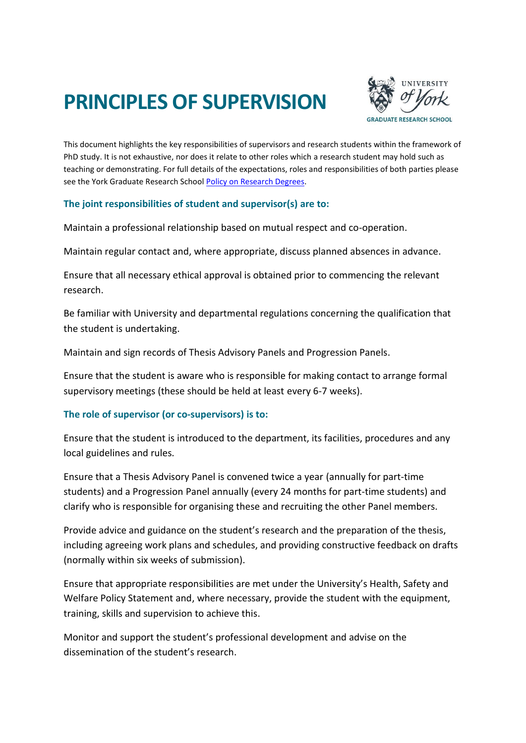## **PRINCIPLES OF SUPERVISION**



This document highlights the key responsibilities of supervisors and research students within the framework of PhD study. It is not exhaustive, nor does it relate to other roles which a research student may hold such as teaching or demonstrating. For full details of the expectations, roles and responsibilities of both parties please see the York Graduate Research Schoo[l Policy on Research Degrees.](https://www.york.ac.uk/research/graduate-school/support/policies-documents/research-degree-policy/)

## **The joint responsibilities of student and supervisor(s) are to:**

Maintain a professional relationship based on mutual respect and co-operation.

Maintain regular contact and, where appropriate, discuss planned absences in advance.

Ensure that all necessary ethical approval is obtained prior to commencing the relevant research.

Be familiar with University and departmental regulations concerning the qualification that the student is undertaking.

Maintain and sign records of Thesis Advisory Panels and Progression Panels.

Ensure that the student is aware who is responsible for making contact to arrange formal supervisory meetings (these should be held at least every 6-7 weeks).

## **The role of supervisor (or co-supervisors) is to:**

Ensure that the student is introduced to the department, its facilities, procedures and any local guidelines and rules.

Ensure that a Thesis Advisory Panel is convened twice a year (annually for part-time students) and a Progression Panel annually (every 24 months for part-time students) and clarify who is responsible for organising these and recruiting the other Panel members.

Provide advice and guidance on the student's research and the preparation of the thesis, including agreeing work plans and schedules, and providing constructive feedback on drafts (normally within six weeks of submission).

Ensure that appropriate responsibilities are met under the University's Health, Safety and Welfare Policy Statement and, where necessary, provide the student with the equipment, training, skills and supervision to achieve this.

Monitor and support the student's professional development and advise on the dissemination of the student's research.